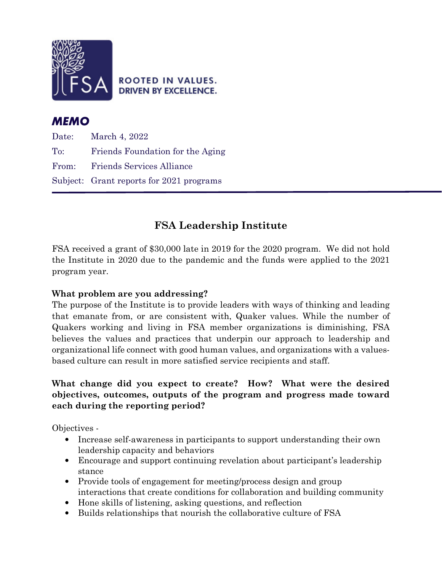

**ROOTED IN VALUES. DRIVEN BY EXCELLENCE.** 

# MEMO

Date: March 4, 2022 To: Friends Foundation for the Aging From: Friends Services Alliance Subject: Grant reports for 2021 programs L

# FSA Leadership Institute

FSA received a grant of \$30,000 late in 2019 for the 2020 program. We did not hold the Institute in 2020 due to the pandemic and the funds were applied to the 2021 program year.

# What problem are you addressing?

The purpose of the Institute is to provide leaders with ways of thinking and leading that emanate from, or are consistent with, Quaker values. While the number of Quakers working and living in FSA member organizations is diminishing, FSA believes the values and practices that underpin our approach to leadership and organizational life connect with good human values, and organizations with a valuesbased culture can result in more satisfied service recipients and staff.

## What change did you expect to create? How? What were the desired objectives, outcomes, outputs of the program and progress made toward each during the reporting period?

Objectives -

- Increase self-awareness in participants to support understanding their own leadership capacity and behaviors
- Encourage and support continuing revelation about participant's leadership stance
- Provide tools of engagement for meeting/process design and group interactions that create conditions for collaboration and building community
- Hone skills of listening, asking questions, and reflection
- Builds relationships that nourish the collaborative culture of FSA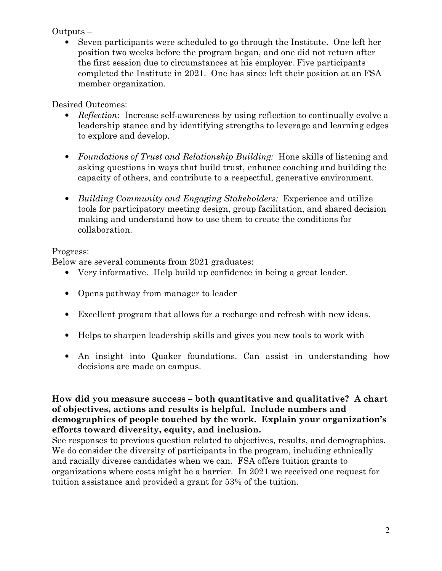## Outputs –

• Seven participants were scheduled to go through the Institute. One left her position two weeks before the program began, and one did not return after the first session due to circumstances at his employer. Five participants completed the Institute in 2021. One has since left their position at an FSA member organization.

# Desired Outcomes:

- Reflection: Increase self-awareness by using reflection to continually evolve a leadership stance and by identifying strengths to leverage and learning edges to explore and develop.
- Foundations of Trust and Relationship Building: Hone skills of listening and asking questions in ways that build trust, enhance coaching and building the capacity of others, and contribute to a respectful, generative environment.
- Building Community and Engaging Stakeholders: Experience and utilize tools for participatory meeting design, group facilitation, and shared decision making and understand how to use them to create the conditions for collaboration.

# Progress:

Below are several comments from 2021 graduates:

- Very informative. Help build up confidence in being a great leader.
- Opens pathway from manager to leader
- Excellent program that allows for a recharge and refresh with new ideas.
- Helps to sharpen leadership skills and gives you new tools to work with
- An insight into Quaker foundations. Can assist in understanding how decisions are made on campus.

How did you measure success – both quantitative and qualitative? A chart of objectives, actions and results is helpful. Include numbers and demographics of people touched by the work. Explain your organization's efforts toward diversity, equity, and inclusion.

See responses to previous question related to objectives, results, and demographics. We do consider the diversity of participants in the program, including ethnically and racially diverse candidates when we can. FSA offers tuition grants to organizations where costs might be a barrier. In 2021 we received one request for tuition assistance and provided a grant for 53% of the tuition.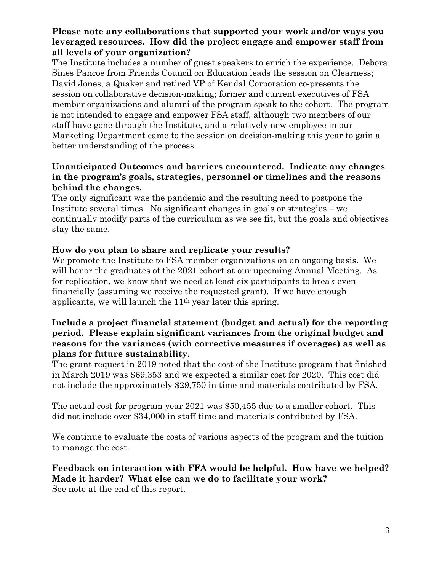## Please note any collaborations that supported your work and/or ways you leveraged resources. How did the project engage and empower staff from all levels of your organization?

The Institute includes a number of guest speakers to enrich the experience. Debora Sines Pancoe from Friends Council on Education leads the session on Clearness; David Jones, a Quaker and retired VP of Kendal Corporation co-presents the session on collaborative decision-making; former and current executives of FSA member organizations and alumni of the program speak to the cohort. The program is not intended to engage and empower FSA staff, although two members of our staff have gone through the Institute, and a relatively new employee in our Marketing Department came to the session on decision-making this year to gain a better understanding of the process.

### Unanticipated Outcomes and barriers encountered. Indicate any changes in the program's goals, strategies, personnel or timelines and the reasons behind the changes.

The only significant was the pandemic and the resulting need to postpone the Institute several times. No significant changes in goals or strategies – we continually modify parts of the curriculum as we see fit, but the goals and objectives stay the same.

## How do you plan to share and replicate your results?

We promote the Institute to FSA member organizations on an ongoing basis. We will honor the graduates of the 2021 cohort at our upcoming Annual Meeting. As for replication, we know that we need at least six participants to break even financially (assuming we receive the requested grant). If we have enough applicants, we will launch the 11th year later this spring.

### Include a project financial statement (budget and actual) for the reporting period. Please explain significant variances from the original budget and reasons for the variances (with corrective measures if overages) as well as plans for future sustainability.

The grant request in 2019 noted that the cost of the Institute program that finished in March 2019 was \$69,353 and we expected a similar cost for 2020. This cost did not include the approximately \$29,750 in time and materials contributed by FSA.

The actual cost for program year 2021 was \$50,455 due to a smaller cohort. This did not include over \$34,000 in staff time and materials contributed by FSA.

We continue to evaluate the costs of various aspects of the program and the tuition to manage the cost.

#### Feedback on interaction with FFA would be helpful. How have we helped? Made it harder? What else can we do to facilitate your work? See note at the end of this report.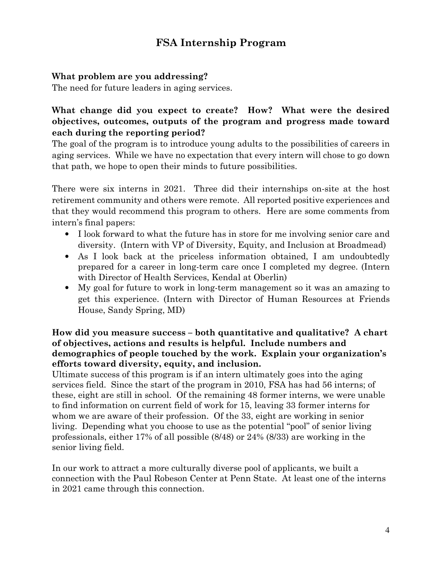# FSA Internship Program

## What problem are you addressing?

The need for future leaders in aging services.

# What change did you expect to create? How? What were the desired objectives, outcomes, outputs of the program and progress made toward each during the reporting period?

The goal of the program is to introduce young adults to the possibilities of careers in aging services. While we have no expectation that every intern will chose to go down that path, we hope to open their minds to future possibilities.

There were six interns in 2021. Three did their internships on-site at the host retirement community and others were remote. All reported positive experiences and that they would recommend this program to others. Here are some comments from intern's final papers:

- I look forward to what the future has in store for me involving senior care and diversity. (Intern with VP of Diversity, Equity, and Inclusion at Broadmead)
- As I look back at the priceless information obtained, I am undoubtedly prepared for a career in long-term care once I completed my degree. (Intern with Director of Health Services, Kendal at Oberlin)
- My goal for future to work in long-term management so it was an amazing to get this experience. (Intern with Director of Human Resources at Friends House, Sandy Spring, MD)

## How did you measure success – both quantitative and qualitative? A chart of objectives, actions and results is helpful. Include numbers and demographics of people touched by the work. Explain your organization's efforts toward diversity, equity, and inclusion.

Ultimate success of this program is if an intern ultimately goes into the aging services field. Since the start of the program in 2010, FSA has had 56 interns; of these, eight are still in school. Of the remaining 48 former interns, we were unable to find information on current field of work for 15, leaving 33 former interns for whom we are aware of their profession. Of the 33, eight are working in senior living. Depending what you choose to use as the potential "pool" of senior living professionals, either 17% of all possible (8/48) or 24% (8/33) are working in the senior living field.

In our work to attract a more culturally diverse pool of applicants, we built a connection with the Paul Robeson Center at Penn State. At least one of the interns in 2021 came through this connection.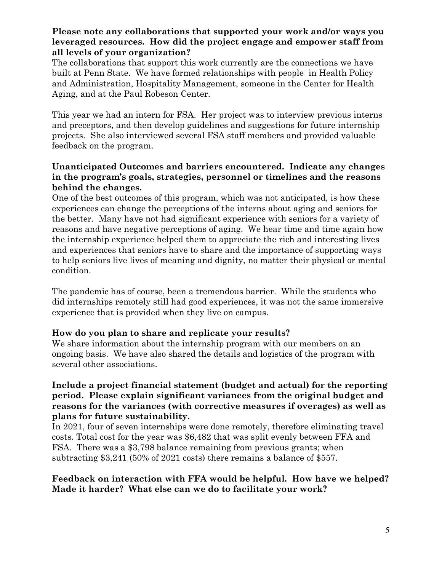### Please note any collaborations that supported your work and/or ways you leveraged resources. How did the project engage and empower staff from all levels of your organization?

The collaborations that support this work currently are the connections we have built at Penn State. We have formed relationships with people in Health Policy and Administration, Hospitality Management, someone in the Center for Health Aging, and at the Paul Robeson Center.

This year we had an intern for FSA. Her project was to interview previous interns and preceptors, and then develop guidelines and suggestions for future internship projects. She also interviewed several FSA staff members and provided valuable feedback on the program.

### Unanticipated Outcomes and barriers encountered. Indicate any changes in the program's goals, strategies, personnel or timelines and the reasons behind the changes.

One of the best outcomes of this program, which was not anticipated, is how these experiences can change the perceptions of the interns about aging and seniors for the better. Many have not had significant experience with seniors for a variety of reasons and have negative perceptions of aging. We hear time and time again how the internship experience helped them to appreciate the rich and interesting lives and experiences that seniors have to share and the importance of supporting ways to help seniors live lives of meaning and dignity, no matter their physical or mental condition.

The pandemic has of course, been a tremendous barrier. While the students who did internships remotely still had good experiences, it was not the same immersive experience that is provided when they live on campus.

## How do you plan to share and replicate your results?

We share information about the internship program with our members on an ongoing basis. We have also shared the details and logistics of the program with several other associations.

### Include a project financial statement (budget and actual) for the reporting period. Please explain significant variances from the original budget and reasons for the variances (with corrective measures if overages) as well as plans for future sustainability.

In 2021, four of seven internships were done remotely, therefore eliminating travel costs. Total cost for the year was \$6,482 that was split evenly between FFA and FSA. There was a \$3,798 balance remaining from previous grants; when subtracting \$3,241 (50% of 2021 costs) there remains a balance of \$557.

## Feedback on interaction with FFA would be helpful. How have we helped? Made it harder? What else can we do to facilitate your work?